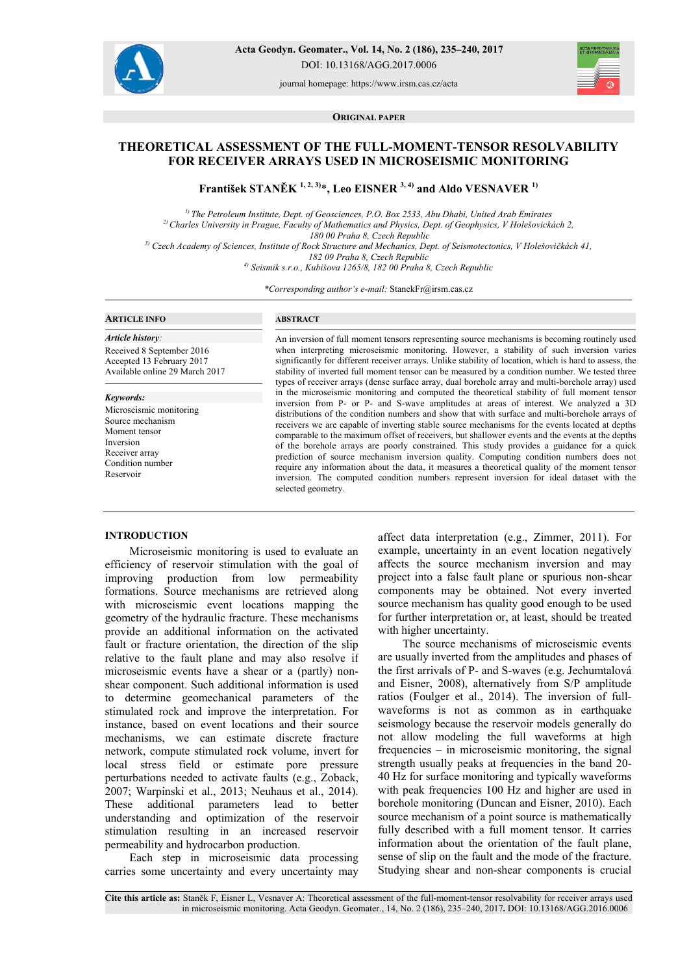

**Acta Geodyn. Geomater., Vol. 14, No. 2 (186), 235–240, 2017**  DOI: 10.13168/AGG.2017.0006

journal homepage: https://www.irsm.cas.cz/acta



**ORIGINAL PAPER**

# **THEORETICAL ASSESSMENT OF THE FULL-MOMENT-TENSOR RESOLVABILITY FOR RECEIVER ARRAYS USED IN MICROSEISMIC MONITORING**

**František STANĚK 1, 2, 3)**\***, Leo EISNER 3, 4) and Aldo VESNAVER 1)** 

*1) The Petroleum Institute, Dept. of Geosciences, P.O. Box 2533, Abu Dhabi, United Arab Emirates 2) Charles University in Prague, Faculty of Mathematics and Physics, Dept. of Geophysics, V Holešovickách 2, 180 00 Praha 8, Czech Republic* 

*3) Czech Academy of Sciences, Institute of Rock Structure and Mechanics, Dept. of Seismotectonics, V Holešovičkách 41,* 

*182 09 Praha 8, Czech Republic* 

*4) Seismik s.r.o., Kubišova 1265/8, 182 00 Praha 8, Czech Republic* 

*\*Corresponding author's e-mail:* StanekFr@irsm.cas.cz

### **ARTICLE INFO**

*Article history:*  Received 8 September 2016 Accepted 13 February 2017 Available online 29 March 2017

#### *Keywords:*

Microseismic monitoring Source mechanism Moment tensor Inversion Receiver array Condition number Reservoir

# **ABSTRACT**

An inversion of full moment tensors representing source mechanisms is becoming routinely used when interpreting microseismic monitoring. However, a stability of such inversion varies significantly for different receiver arrays. Unlike stability of location, which is hard to assess, the stability of inverted full moment tensor can be measured by a condition number. We tested three types of receiver arrays (dense surface array, dual borehole array and multi-borehole array) used in the microseismic monitoring and computed the theoretical stability of full moment tensor inversion from P- or P- and S-wave amplitudes at areas of interest. We analyzed a 3D distributions of the condition numbers and show that with surface and multi-borehole arrays of receivers we are capable of inverting stable source mechanisms for the events located at depths comparable to the maximum offset of receivers, but shallower events and the events at the depths of the borehole arrays are poorly constrained. This study provides a guidance for a quick prediction of source mechanism inversion quality. Computing condition numbers does not require any information about the data, it measures a theoretical quality of the moment tensor inversion. The computed condition numbers represent inversion for ideal dataset with the selected geometry.

#### **INTRODUCTION**

Microseismic monitoring is used to evaluate an efficiency of reservoir stimulation with the goal of improving production from low permeability formations. Source mechanisms are retrieved along with microseismic event locations mapping the geometry of the hydraulic fracture. These mechanisms provide an additional information on the activated fault or fracture orientation, the direction of the slip relative to the fault plane and may also resolve if microseismic events have a shear or a (partly) nonshear component. Such additional information is used to determine geomechanical parameters of the stimulated rock and improve the interpretation. For instance, based on event locations and their source mechanisms, we can estimate discrete fracture network, compute stimulated rock volume, invert for local stress field or estimate pore pressure perturbations needed to activate faults (e.g., Zoback, 2007; Warpinski et al., 2013; Neuhaus et al., 2014). These additional parameters lead to better understanding and optimization of the reservoir stimulation resulting in an increased reservoir permeability and hydrocarbon production.

Each step in microseismic data processing carries some uncertainty and every uncertainty may affect data interpretation (e.g., Zimmer, 2011). For example, uncertainty in an event location negatively affects the source mechanism inversion and may project into a false fault plane or spurious non-shear components may be obtained. Not every inverted source mechanism has quality good enough to be used for further interpretation or, at least, should be treated with higher uncertainty.

The source mechanisms of microseismic events are usually inverted from the amplitudes and phases of the first arrivals of P- and S-waves (e.g. Jechumtalová and Eisner, 2008), alternatively from S/P amplitude ratios (Foulger et al., 2014). The inversion of fullwaveforms is not as common as in earthquake seismology because the reservoir models generally do not allow modeling the full waveforms at high frequencies – in microseismic monitoring, the signal strength usually peaks at frequencies in the band 20- 40 Hz for surface monitoring and typically waveforms with peak frequencies 100 Hz and higher are used in borehole monitoring (Duncan and Eisner, 2010). Each source mechanism of a point source is mathematically fully described with a full moment tensor. It carries information about the orientation of the fault plane, sense of slip on the fault and the mode of the fracture. Studying shear and non-shear components is crucial

**Cite this article as:** Staněk F, Eisner L, Vesnaver A: Theoretical assessment of the full-moment-tensor resolvability for receiver arrays used in microseismic monitoring. Acta Geodyn. Geomater., 14, No. 2 (186), 235–240, 2017**.** DOI: 10.13168/AGG.2016.0006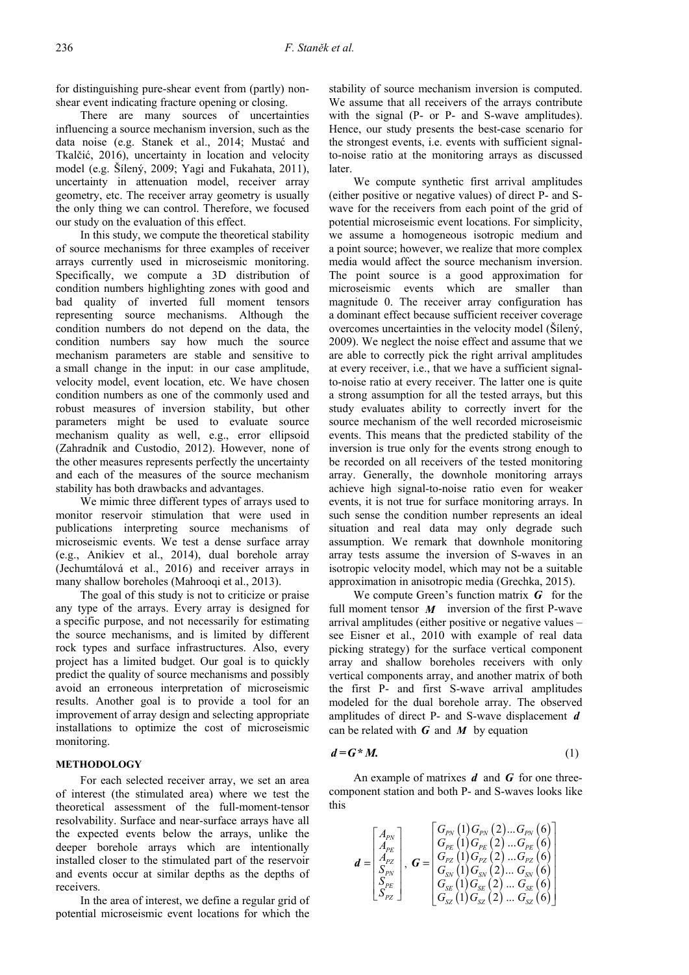for distinguishing pure-shear event from (partly) nonshear event indicating fracture opening or closing.

There are many sources of uncertainties influencing a source mechanism inversion, such as the data noise (e.g. Stanek et al., 2014; Mustać and Tkalčić, 2016), uncertainty in location and velocity model (e.g. Šílený, 2009; Yagi and Fukahata, 2011), uncertainty in attenuation model, receiver array geometry, etc. The receiver array geometry is usually the only thing we can control. Therefore, we focused our study on the evaluation of this effect.

In this study, we compute the theoretical stability of source mechanisms for three examples of receiver arrays currently used in microseismic monitoring. Specifically, we compute a 3D distribution of condition numbers highlighting zones with good and bad quality of inverted full moment tensors representing source mechanisms. Although the condition numbers do not depend on the data, the condition numbers say how much the source mechanism parameters are stable and sensitive to a small change in the input: in our case amplitude, velocity model, event location, etc. We have chosen condition numbers as one of the commonly used and robust measures of inversion stability, but other parameters might be used to evaluate source mechanism quality as well, e.g., error ellipsoid (Zahradník and Custodio, 2012). However, none of the other measures represents perfectly the uncertainty and each of the measures of the source mechanism stability has both drawbacks and advantages.

We mimic three different types of arrays used to monitor reservoir stimulation that were used in publications interpreting source mechanisms of microseismic events. We test a dense surface array (e.g., Anikiev et al., 2014), dual borehole array (Jechumtálová et al., 2016) and receiver arrays in many shallow boreholes (Mahrooqi et al., 2013).

The goal of this study is not to criticize or praise any type of the arrays. Every array is designed for a specific purpose, and not necessarily for estimating the source mechanisms, and is limited by different rock types and surface infrastructures. Also, every project has a limited budget. Our goal is to quickly predict the quality of source mechanisms and possibly avoid an erroneous interpretation of microseismic results. Another goal is to provide a tool for an improvement of array design and selecting appropriate installations to optimize the cost of microseismic monitoring.

# **METHODOLOGY**

For each selected receiver array, we set an area of interest (the stimulated area) where we test the theoretical assessment of the full-moment-tensor resolvability. Surface and near-surface arrays have all the expected events below the arrays, unlike the deeper borehole arrays which are intentionally installed closer to the stimulated part of the reservoir and events occur at similar depths as the depths of receivers.

In the area of interest, we define a regular grid of potential microseismic event locations for which the

stability of source mechanism inversion is computed. We assume that all receivers of the arrays contribute with the signal (P- or P- and S-wave amplitudes). Hence, our study presents the best-case scenario for the strongest events, i.e. events with sufficient signalto-noise ratio at the monitoring arrays as discussed later.

We compute synthetic first arrival amplitudes (either positive or negative values) of direct P- and Swave for the receivers from each point of the grid of potential microseismic event locations. For simplicity, we assume a homogeneous isotropic medium and a point source; however, we realize that more complex media would affect the source mechanism inversion. The point source is a good approximation for microseismic events which are smaller than magnitude 0. The receiver array configuration has a dominant effect because sufficient receiver coverage overcomes uncertainties in the velocity model (Šílený, 2009). We neglect the noise effect and assume that we are able to correctly pick the right arrival amplitudes at every receiver, i.e., that we have a sufficient signalto-noise ratio at every receiver. The latter one is quite a strong assumption for all the tested arrays, but this study evaluates ability to correctly invert for the source mechanism of the well recorded microseismic events. This means that the predicted stability of the inversion is true only for the events strong enough to be recorded on all receivers of the tested monitoring array. Generally, the downhole monitoring arrays achieve high signal-to-noise ratio even for weaker events, it is not true for surface monitoring arrays. In such sense the condition number represents an ideal situation and real data may only degrade such assumption. We remark that downhole monitoring array tests assume the inversion of S-waves in an isotropic velocity model, which may not be a suitable approximation in anisotropic media (Grechka, 2015).

We compute Green's function matrix  $\boldsymbol{G}$  for the full moment tensor *M* inversion of the first P-wave arrival amplitudes (either positive or negative values – see Eisner et al., 2010 with example of real data picking strategy) for the surface vertical component array and shallow boreholes receivers with only vertical components array, and another matrix of both the first P- and first S-wave arrival amplitudes modeled for the dual borehole array. The observed amplitudes of direct P- and S-wave displacement *d* can be related with *G* and *M* by equation

$$
d = G^* M. \tag{1}
$$

An example of matrixes *d* and *G* for one threecomponent station and both P- and S-waves looks like this

$$
\boldsymbol{d} = \begin{bmatrix} A_{\scriptscriptstyle{PN}} \\ A_{\scriptscriptstyle{PE}} \\ A_{\scriptscriptstyle{PE}} \\ S_{\scriptscriptstyle{PS}} \\ S_{\scriptscriptstyle{PE}} \\ S_{\scriptscriptstyle{PE}} \\ S_{\scriptscriptstyle{PZ}} \end{bmatrix}, \ \boldsymbol{G} = \begin{bmatrix} G_{\scriptscriptstyle{PN}}\left(1\right)G_{\scriptscriptstyle{PN}}\left(2\right)...G_{\scriptscriptstyle{PN}}\left(6\right) \\ G_{\scriptscriptstyle{PE}}\left(1\right)G_{\scriptscriptstyle{PE}}\left(2\right)...G_{\scriptscriptstyle{PE}}\left(6\right) \\ G_{\scriptscriptstyle{SQ}}\left(1\right)G_{\scriptscriptstyle{PZ}}\left(2\right)...G_{\scriptscriptstyle{PZ}}\left(6\right) \\ G_{\scriptscriptstyle{SV}}\left(1\right)G_{\scriptscriptstyle{SN}}\left(2\right)...G_{\scriptscriptstyle{SN}}\left(6\right) \\ G_{\scriptscriptstyle{SE}}\left(1\right)G_{\scriptscriptstyle{SE}}\left(2\right)...G_{\scriptscriptstyle{SE}}\left(6\right) \\ G_{\scriptscriptstyle{SZ}}\left(1\right)G_{\scriptscriptstyle{SZ}}\left(2\right)...G_{\scriptscriptstyle{SZ}}\left(6\right) \end{bmatrix}
$$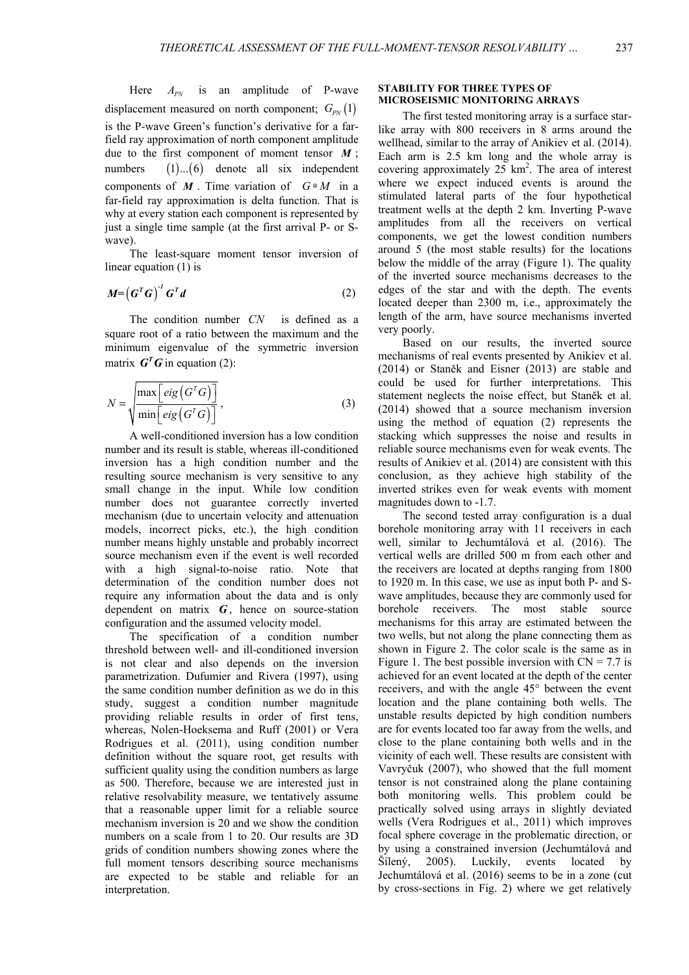Here  $A_{\rho N}$  is an amplitude of P-wave displacement measured on north component;  $G_{pN}(1)$ is the P-wave Green's function's derivative for a farfield ray approximation of north component amplitude due to the first component of moment tensor *M* ; numbers  $(1)...(6)$  denote all six independent components of  $M$ . Time variation of  $G * M$  in a far-field ray approximation is delta function. That is why at every station each component is represented by just a single time sample (at the first arrival P- or Swave).

The least-square moment tensor inversion of linear equation (1) is

$$
M = \left(G^T G\right)^{-1} G^T d \tag{2}
$$

The condition number *CN* is defined as a square root of a ratio between the maximum and the minimum eigenvalue of the symmetric inversion matrix  $\mathbf{G}^T \mathbf{G}$  in equation (2):

$$
N = \sqrt{\frac{\max\left[ eig\left(G^T G\right)\right]}{\min\left[ eig\left(G^T G\right)\right]}},\tag{3}
$$

A well-conditioned inversion has a low condition number and its result is stable, whereas ill-conditioned inversion has a high condition number and the resulting source mechanism is very sensitive to any small change in the input. While low condition number does not guarantee correctly inverted mechanism (due to uncertain velocity and attenuation models, incorrect picks, etc.), the high condition number means highly unstable and probably incorrect source mechanism even if the event is well recorded with a high signal-to-noise ratio. Note that determination of the condition number does not require any information about the data and is only dependent on matrix  $G$ , hence on source-station configuration and the assumed velocity model.

The specification of a condition number threshold between well- and ill-conditioned inversion is not clear and also depends on the inversion parametrization. Dufumier and Rivera (1997), using the same condition number definition as we do in this study, suggest a condition number magnitude providing reliable results in order of first tens, whereas, Nolen-Hoeksema and Ruff (2001) or Vera Rodrigues et al. (2011), using condition number definition without the square root, get results with sufficient quality using the condition numbers as large as 500. Therefore, because we are interested just in relative resolvability measure, we tentatively assume that a reasonable upper limit for a reliable source mechanism inversion is 20 and we show the condition numbers on a scale from 1 to 20. Our results are 3D grids of condition numbers showing zones where the full moment tensors describing source mechanisms are expected to be stable and reliable for an interpretation.

### **STABILITY FOR THREE TYPES OF MICROSEISMIC MONITORING ARRAYS**

The first tested monitoring array is a surface starlike array with 800 receivers in 8 arms around the wellhead, similar to the array of Anikiev et al. (2014). Each arm is 2.5 km long and the whole array is covering approximately 25 km<sup>2</sup>. The area of interest where we expect induced events is around the stimulated lateral parts of the four hypothetical treatment wells at the depth 2 km. Inverting P-wave amplitudes from all the receivers on vertical components, we get the lowest condition numbers around 5 (the most stable results) for the locations below the middle of the array (Figure 1). The quality of the inverted source mechanisms decreases to the edges of the star and with the depth. The events located deeper than 2300 m, i.e., approximately the length of the arm, have source mechanisms inverted very poorly.

Based on our results, the inverted source mechanisms of real events presented by Anikiev et al. (2014) or Staněk and Eisner (2013) are stable and could be used for further interpretations. This statement neglects the noise effect, but Staněk et al. (2014) showed that a source mechanism inversion using the method of equation (2) represents the stacking which suppresses the noise and results in reliable source mechanisms even for weak events. The results of Anikiev et al. (2014) are consistent with this conclusion, as they achieve high stability of the inverted strikes even for weak events with moment magnitudes down to -1.7.

The second tested array configuration is a dual borehole monitoring array with 11 receivers in each well, similar to Jechumtálová et al. (2016). The vertical wells are drilled 500 m from each other and the receivers are located at depths ranging from 1800 to 1920 m. In this case, we use as input both P- and Swave amplitudes, because they are commonly used for borehole receivers. The most stable source mechanisms for this array are estimated between the two wells, but not along the plane connecting them as shown in Figure 2. The color scale is the same as in Figure 1. The best possible inversion with  $CN = 7.7$  is achieved for an event located at the depth of the center receivers, and with the angle 45° between the event location and the plane containing both wells. The unstable results depicted by high condition numbers are for events located too far away from the wells, and close to the plane containing both wells and in the vicinity of each well. These results are consistent with Vavryčuk (2007), who showed that the full moment tensor is not constrained along the plane containing both monitoring wells. This problem could be practically solved using arrays in slightly deviated wells (Vera Rodrigues et al., 2011) which improves focal sphere coverage in the problematic direction, or by using a constrained inversion (Jechumtálová and Šílený, 2005). Luckily, events located by Jechumtálová et al. (2016) seems to be in a zone (cut by cross-sections in Fig. 2) where we get relatively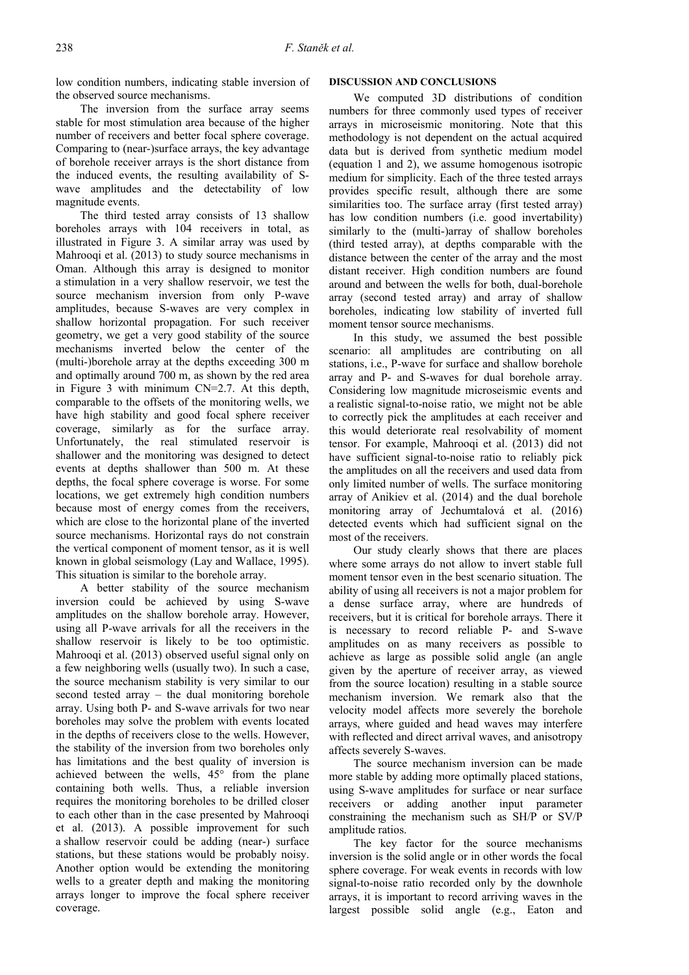low condition numbers, indicating stable inversion of the observed source mechanisms.

The inversion from the surface array seems stable for most stimulation area because of the higher number of receivers and better focal sphere coverage. Comparing to (near-)surface arrays, the key advantage of borehole receiver arrays is the short distance from the induced events, the resulting availability of Swave amplitudes and the detectability of low magnitude events.

The third tested array consists of 13 shallow boreholes arrays with 104 receivers in total, as illustrated in Figure 3. A similar array was used by Mahrooqi et al. (2013) to study source mechanisms in Oman. Although this array is designed to monitor a stimulation in a very shallow reservoir, we test the source mechanism inversion from only P-wave amplitudes, because S-waves are very complex in shallow horizontal propagation. For such receiver geometry, we get a very good stability of the source mechanisms inverted below the center of the (multi-)borehole array at the depths exceeding 300 m and optimally around 700 m, as shown by the red area in Figure 3 with minimum CN=2.7. At this depth, comparable to the offsets of the monitoring wells, we have high stability and good focal sphere receiver coverage, similarly as for the surface array. Unfortunately, the real stimulated reservoir is shallower and the monitoring was designed to detect events at depths shallower than 500 m. At these depths, the focal sphere coverage is worse. For some locations, we get extremely high condition numbers because most of energy comes from the receivers, which are close to the horizontal plane of the inverted source mechanisms. Horizontal rays do not constrain the vertical component of moment tensor, as it is well known in global seismology (Lay and Wallace, 1995). This situation is similar to the borehole array.

A better stability of the source mechanism inversion could be achieved by using S-wave amplitudes on the shallow borehole array. However, using all P-wave arrivals for all the receivers in the shallow reservoir is likely to be too optimistic. Mahrooqi et al. (2013) observed useful signal only on a few neighboring wells (usually two). In such a case, the source mechanism stability is very similar to our second tested array – the dual monitoring borehole array. Using both P- and S-wave arrivals for two near boreholes may solve the problem with events located in the depths of receivers close to the wells. However, the stability of the inversion from two boreholes only has limitations and the best quality of inversion is achieved between the wells, 45° from the plane containing both wells. Thus, a reliable inversion requires the monitoring boreholes to be drilled closer to each other than in the case presented by Mahrooqi et al. (2013). A possible improvement for such a shallow reservoir could be adding (near-) surface stations, but these stations would be probably noisy. Another option would be extending the monitoring wells to a greater depth and making the monitoring arrays longer to improve the focal sphere receiver coverage.

# **DISCUSSION AND CONCLUSIONS**

We computed 3D distributions of condition numbers for three commonly used types of receiver arrays in microseismic monitoring. Note that this methodology is not dependent on the actual acquired data but is derived from synthetic medium model (equation 1 and 2), we assume homogenous isotropic medium for simplicity. Each of the three tested arrays provides specific result, although there are some similarities too. The surface array (first tested array) has low condition numbers (i.e. good invertability) similarly to the (multi-)array of shallow boreholes (third tested array), at depths comparable with the distance between the center of the array and the most distant receiver. High condition numbers are found around and between the wells for both, dual-borehole array (second tested array) and array of shallow boreholes, indicating low stability of inverted full moment tensor source mechanisms.

In this study, we assumed the best possible scenario: all amplitudes are contributing on all stations, i.e., P-wave for surface and shallow borehole array and P- and S-waves for dual borehole array. Considering low magnitude microseismic events and a realistic signal-to-noise ratio, we might not be able to correctly pick the amplitudes at each receiver and this would deteriorate real resolvability of moment tensor. For example, Mahrooqi et al. (2013) did not have sufficient signal-to-noise ratio to reliably pick the amplitudes on all the receivers and used data from only limited number of wells. The surface monitoring array of Anikiev et al. (2014) and the dual borehole monitoring array of Jechumtalová et al. (2016) detected events which had sufficient signal on the most of the receivers.

Our study clearly shows that there are places where some arrays do not allow to invert stable full moment tensor even in the best scenario situation. The ability of using all receivers is not a major problem for a dense surface array, where are hundreds of receivers, but it is critical for borehole arrays. There it is necessary to record reliable P- and S-wave amplitudes on as many receivers as possible to achieve as large as possible solid angle (an angle given by the aperture of receiver array, as viewed from the source location) resulting in a stable source mechanism inversion. We remark also that the velocity model affects more severely the borehole arrays, where guided and head waves may interfere with reflected and direct arrival waves, and anisotropy affects severely S-waves.

The source mechanism inversion can be made more stable by adding more optimally placed stations, using S-wave amplitudes for surface or near surface receivers or adding another input parameter constraining the mechanism such as SH/P or SV/P amplitude ratios.

The key factor for the source mechanisms inversion is the solid angle or in other words the focal sphere coverage. For weak events in records with low signal-to-noise ratio recorded only by the downhole arrays, it is important to record arriving waves in the largest possible solid angle (e.g., Eaton and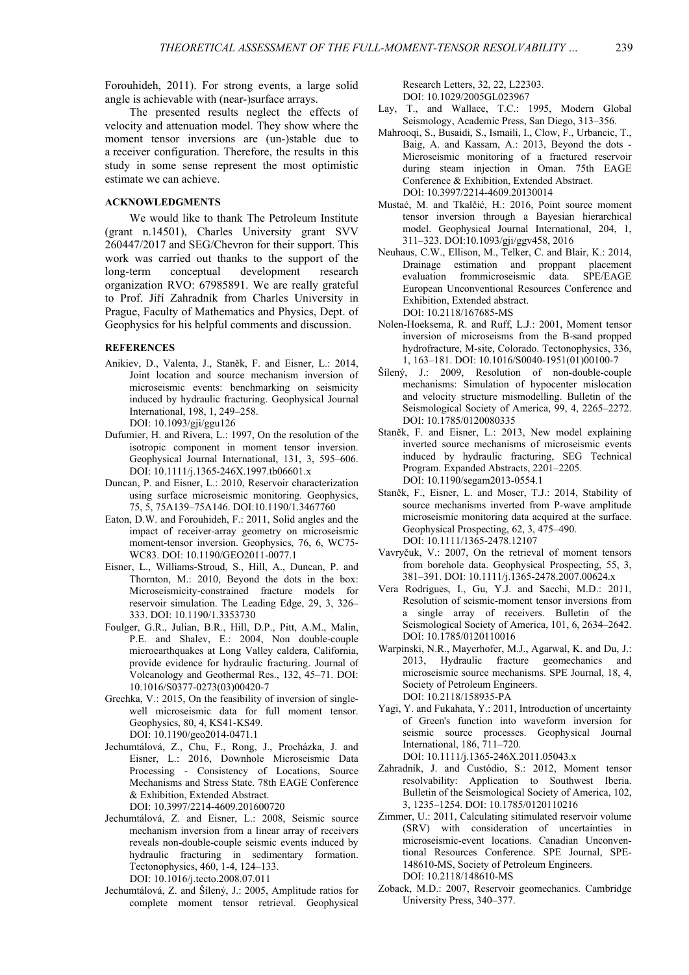Forouhideh, 2011). For strong events, a large solid angle is achievable with (near-)surface arrays.

The presented results neglect the effects of velocity and attenuation model. They show where the moment tensor inversions are (un-)stable due to a receiver configuration. Therefore, the results in this study in some sense represent the most optimistic estimate we can achieve.

#### **ACKNOWLEDGMENTS**

We would like to thank The Petroleum Institute (grant n.14501), Charles University grant SVV 260447/2017 and SEG/Chevron for their support. This work was carried out thanks to the support of the long-term conceptual development research organization RVO: 67985891. We are really grateful to Prof. Jiří Zahradník from Charles University in Prague, Faculty of Mathematics and Physics, Dept. of Geophysics for his helpful comments and discussion.

# **REFERENCES**

- Anikiev, D., Valenta, J., Staněk, F. and Eisner, L.: 2014, Joint location and source mechanism inversion of microseismic events: benchmarking on seismicity induced by hydraulic fracturing. Geophysical Journal International, 198, 1, 249–258. DOI: 10.1093/gji/ggu126
- Dufumier, H. and Rivera, L.: 1997, On the resolution of the isotropic component in moment tensor inversion. Geophysical Journal International, 131, 3, 595–606. DOI: 10.1111/j.1365-246X.1997.tb06601.x
- Duncan, P. and Eisner, L.: 2010, Reservoir characterization using surface microseismic monitoring. Geophysics, 75, 5, 75A139–75A146. DOI:10.1190/1.3467760
- Eaton, D.W. and Forouhideh, F.: 2011, Solid angles and the impact of receiver-array geometry on microseismic moment-tensor inversion. Geophysics, 76, 6, WC75- WC83. DOI: 10.1190/GEO2011-0077.1
- Eisner, L., Williams-Stroud, S., Hill, A., Duncan, P. and Thornton, M.: 2010, Beyond the dots in the box: Microseismicity-constrained fracture models for reservoir simulation. The Leading Edge, 29, 3, 326– 333. DOI: 10.1190/1.3353730
- Foulger, G.R., Julian, B.R., Hill, D.P., Pitt, A.M., Malin, P.E. and Shalev, E.: 2004, Non double-couple microearthquakes at Long Valley caldera, California, provide evidence for hydraulic fracturing. Journal of Volcanology and Geothermal Res., 132, 45–71. DOI: 10.1016/S0377-0273(03)00420-7
- Grechka, V.: 2015, On the feasibility of inversion of singlewell microseismic data for full moment tensor. Geophysics, 80, 4, KS41-KS49. DOI: 10.1190/geo2014-0471.1
- Jechumtálová, Z., Chu, F., Rong, J., Procházka, J. and Eisner, L.: 2016, Downhole Microseismic Data Processing - Consistency of Locations, Source Mechanisms and Stress State. 78th EAGE Conference & Exhibition, Extended Abstract. DOI: 10.3997/2214-4609.201600720
- Jechumtálová, Z. and Eisner, L.: 2008, Seismic source mechanism inversion from a linear array of receivers reveals non-double-couple seismic events induced by hydraulic fracturing in sedimentary formation. Tectonophysics, 460, 1-4, 124–133. DOI: 10.1016/j.tecto.2008.07.011
- Jechumtálová, Z. and Šílený, J.: 2005, Amplitude ratios for complete moment tensor retrieval. Geophysical

Research Letters, 32, 22, L22303. DOI: 10.1029/2005GL023967

- Lay, T., and Wallace, T.C.: 1995, Modern Global Seismology, Academic Press, San Diego, 313–356.
- Mahrooqi, S., Busaidi, S., Ismaili, I., Clow, F., Urbancic, T., Baig, A. and Kassam, A.: 2013, Beyond the dots - Microseismic monitoring of a fractured reservoir during steam injection in Oman. 75th EAGE Conference & Exhibition, Extended Abstract. DOI: 10.3997/2214-4609.20130014
- Mustać, M. and Tkalčić, H.: 2016, Point source moment tensor inversion through a Bayesian hierarchical model. Geophysical Journal International, 204, 1, 311–323. DOI:10.1093/gji/ggv458, 2016
- Neuhaus, C.W., Ellison, M., Telker, C. and Blair, K.: 2014, Drainage estimation and proppant placement evaluation frommicroseismic data. SPE/EAGE European Unconventional Resources Conference and Exhibition, Extended abstract. DOI: 10.2118/167685-MS
- Nolen-Hoeksema, R. and Ruff, L.J.: 2001, Moment tensor inversion of microseisms from the B-sand propped hydrofracture, M-site, Colorado. Tectonophysics, 336, 1, 163–181. DOI: 10.1016/S0040-1951(01)00100-7
- Šílený, J.: 2009, Resolution of non-double-couple mechanisms: Simulation of hypocenter mislocation and velocity structure mismodelling. Bulletin of the Seismological Society of America, 99, 4, 2265–2272. DOI: 10.1785/0120080335
- Staněk, F. and Eisner, L.: 2013, New model explaining inverted source mechanisms of microseismic events induced by hydraulic fracturing, SEG Technical Program. Expanded Abstracts, 2201–2205. DOI: 10.1190/segam2013-0554.1
- Staněk, F., Eisner, L. and Moser, T.J.: 2014, Stability of source mechanisms inverted from P-wave amplitude microseismic monitoring data acquired at the surface. Geophysical Prospecting, 62, 3, 475–490. DOI: 10.1111/1365-2478.12107
- Vavryčuk, V.: 2007, On the retrieval of moment tensors from borehole data. Geophysical Prospecting, 55, 3, 381–391. DOI: 10.1111/j.1365-2478.2007.00624.x
- Vera Rodrigues, I., Gu, Y.J. and Sacchi, M.D.: 2011, Resolution of seismic-moment tensor inversions from a single array of receivers. Bulletin of the Seismological Society of America, 101, 6, 2634–2642. DOI: 10.1785/0120110016
- Warpinski, N.R., Mayerhofer, M.J., Agarwal, K. and Du, J.: 2013, Hydraulic fracture geomechanics and microseismic source mechanisms. SPE Journal, 18, 4, Society of Petroleum Engineers. DOI: 10.2118/158935-PA
- Yagi, Y. and Fukahata, Y.: 2011, Introduction of uncertainty of Green's function into waveform inversion for seismic source processes. Geophysical Journal International, 186, 711–720. DOI: 10.1111/j.1365-246X.2011.05043.x
- Zahradník, J. and Custódio, S.: 2012, Moment tensor resolvability: Application to Southwest Iberia. Bulletin of the Seismological Society of America, 102, 3, 1235–1254. DOI: 10.1785/0120110216
- Zimmer, U.: 2011, Calculating sitimulated reservoir volume (SRV) with consideration of uncertainties in microseismic-event locations. Canadian Unconventional Resources Conference. SPE Journal, SPE-148610-MS, Society of Petroleum Engineers. DOI: 10.2118/148610-MS
- Zoback, M.D.: 2007, Reservoir geomechanics. Cambridge University Press, 340–377.